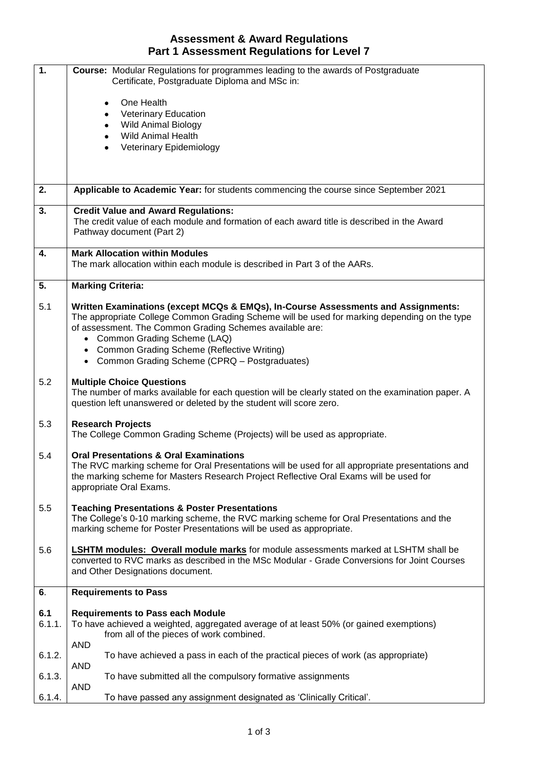## **Assessment & Award Regulations Part 1 Assessment Regulations for Level 7**

| 1.     | <b>Course:</b> Modular Regulations for programmes leading to the awards of Postgraduate<br>Certificate, Postgraduate Diploma and MSc in:                                  |  |
|--------|---------------------------------------------------------------------------------------------------------------------------------------------------------------------------|--|
|        |                                                                                                                                                                           |  |
|        | One Health<br>٠                                                                                                                                                           |  |
|        | <b>Veterinary Education</b><br>٠<br><b>Wild Animal Biology</b><br>$\bullet$                                                                                               |  |
|        | <b>Wild Animal Health</b>                                                                                                                                                 |  |
|        | Veterinary Epidemiology                                                                                                                                                   |  |
|        |                                                                                                                                                                           |  |
|        |                                                                                                                                                                           |  |
| 2.     | Applicable to Academic Year: for students commencing the course since September 2021                                                                                      |  |
| 3.     | <b>Credit Value and Award Regulations:</b>                                                                                                                                |  |
|        | The credit value of each module and formation of each award title is described in the Award<br>Pathway document (Part 2)                                                  |  |
|        |                                                                                                                                                                           |  |
| 4.     | <b>Mark Allocation within Modules</b>                                                                                                                                     |  |
|        | The mark allocation within each module is described in Part 3 of the AARs.                                                                                                |  |
| 5.     | <b>Marking Criteria:</b>                                                                                                                                                  |  |
| 5.1    | Written Examinations (except MCQs & EMQs), In-Course Assessments and Assignments:                                                                                         |  |
|        | The appropriate College Common Grading Scheme will be used for marking depending on the type                                                                              |  |
|        | of assessment. The Common Grading Schemes available are:                                                                                                                  |  |
|        | • Common Grading Scheme (LAQ)                                                                                                                                             |  |
|        | • Common Grading Scheme (Reflective Writing)<br>• Common Grading Scheme (CPRQ - Postgraduates)                                                                            |  |
|        |                                                                                                                                                                           |  |
| 5.2    | <b>Multiple Choice Questions</b>                                                                                                                                          |  |
|        | The number of marks available for each question will be clearly stated on the examination paper. A<br>question left unanswered or deleted by the student will score zero. |  |
|        |                                                                                                                                                                           |  |
| 5.3    | <b>Research Projects</b>                                                                                                                                                  |  |
|        | The College Common Grading Scheme (Projects) will be used as appropriate.                                                                                                 |  |
| 5.4    | <b>Oral Presentations &amp; Oral Examinations</b>                                                                                                                         |  |
|        | The RVC marking scheme for Oral Presentations will be used for all appropriate presentations and                                                                          |  |
|        | the marking scheme for Masters Research Project Reflective Oral Exams will be used for<br>appropriate Oral Exams.                                                         |  |
|        |                                                                                                                                                                           |  |
| 5.5    | <b>Teaching Presentations &amp; Poster Presentations</b>                                                                                                                  |  |
|        | The College's 0-10 marking scheme, the RVC marking scheme for Oral Presentations and the<br>marking scheme for Poster Presentations will be used as appropriate.          |  |
|        |                                                                                                                                                                           |  |
| 5.6    | <b>LSHTM modules: Overall module marks</b> for module assessments marked at LSHTM shall be                                                                                |  |
|        | converted to RVC marks as described in the MSc Modular - Grade Conversions for Joint Courses                                                                              |  |
|        | and Other Designations document.                                                                                                                                          |  |
| 6.     | <b>Requirements to Pass</b>                                                                                                                                               |  |
| 6.1    | <b>Requirements to Pass each Module</b>                                                                                                                                   |  |
| 6.1.1. | To have achieved a weighted, aggregated average of at least 50% (or gained exemptions)                                                                                    |  |
|        | from all of the pieces of work combined.                                                                                                                                  |  |
| 6.1.2. | <b>AND</b><br>To have achieved a pass in each of the practical pieces of work (as appropriate)                                                                            |  |
|        | <b>AND</b>                                                                                                                                                                |  |
| 6.1.3. | To have submitted all the compulsory formative assignments                                                                                                                |  |
| 6.1.4. | <b>AND</b><br>To have passed any assignment designated as 'Clinically Critical'.                                                                                          |  |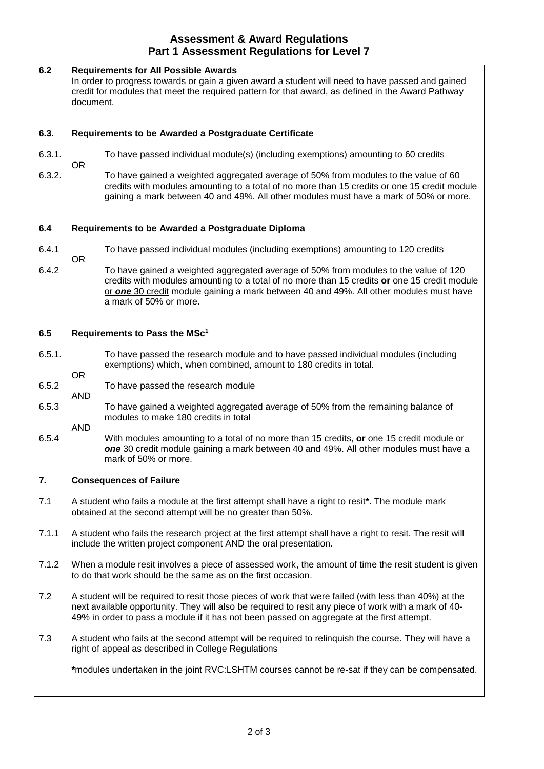## **Assessment & Award Regulations Part 1 Assessment Regulations for Level 7**

| 6.2              | <b>Requirements for All Possible Awards</b><br>In order to progress towards or gain a given award a student will need to have passed and gained<br>credit for modules that meet the required pattern for that award, as defined in the Award Pathway<br>document.                                           |                                                                                                                                                                                                                                                                                                          |  |
|------------------|-------------------------------------------------------------------------------------------------------------------------------------------------------------------------------------------------------------------------------------------------------------------------------------------------------------|----------------------------------------------------------------------------------------------------------------------------------------------------------------------------------------------------------------------------------------------------------------------------------------------------------|--|
| 6.3.             | Requirements to be Awarded a Postgraduate Certificate                                                                                                                                                                                                                                                       |                                                                                                                                                                                                                                                                                                          |  |
| 6.3.1.           | <b>OR</b>                                                                                                                                                                                                                                                                                                   | To have passed individual module(s) (including exemptions) amounting to 60 credits                                                                                                                                                                                                                       |  |
| 6.3.2.           |                                                                                                                                                                                                                                                                                                             | To have gained a weighted aggregated average of 50% from modules to the value of 60<br>credits with modules amounting to a total of no more than 15 credits or one 15 credit module<br>gaining a mark between 40 and 49%. All other modules must have a mark of 50% or more.                             |  |
| 6.4              | Requirements to be Awarded a Postgraduate Diploma                                                                                                                                                                                                                                                           |                                                                                                                                                                                                                                                                                                          |  |
| 6.4.1            | <b>OR</b>                                                                                                                                                                                                                                                                                                   | To have passed individual modules (including exemptions) amounting to 120 credits                                                                                                                                                                                                                        |  |
| 6.4.2            |                                                                                                                                                                                                                                                                                                             | To have gained a weighted aggregated average of 50% from modules to the value of 120<br>credits with modules amounting to a total of no more than 15 credits or one 15 credit module<br>or one 30 credit module gaining a mark between 40 and 49%. All other modules must have<br>a mark of 50% or more. |  |
| 6.5              | Requirements to Pass the MSc <sup>1</sup>                                                                                                                                                                                                                                                                   |                                                                                                                                                                                                                                                                                                          |  |
| 6.5.1.           | <b>OR</b>                                                                                                                                                                                                                                                                                                   | To have passed the research module and to have passed individual modules (including<br>exemptions) which, when combined, amount to 180 credits in total.                                                                                                                                                 |  |
| 6.5.2            | <b>AND</b>                                                                                                                                                                                                                                                                                                  | To have passed the research module                                                                                                                                                                                                                                                                       |  |
| 6.5.3            |                                                                                                                                                                                                                                                                                                             | To have gained a weighted aggregated average of 50% from the remaining balance of<br>modules to make 180 credits in total                                                                                                                                                                                |  |
| 6.5.4            | <b>AND</b>                                                                                                                                                                                                                                                                                                  | With modules amounting to a total of no more than 15 credits, or one 15 credit module or<br>one 30 credit module gaining a mark between 40 and 49%. All other modules must have a<br>mark of 50% or more.                                                                                                |  |
| $\overline{7}$ . | <b>Consequences of Failure</b>                                                                                                                                                                                                                                                                              |                                                                                                                                                                                                                                                                                                          |  |
| 7.1              | A student who fails a module at the first attempt shall have a right to resit*. The module mark<br>obtained at the second attempt will be no greater than 50%.                                                                                                                                              |                                                                                                                                                                                                                                                                                                          |  |
| 7.1.1            | A student who fails the research project at the first attempt shall have a right to resit. The resit will<br>include the written project component AND the oral presentation.                                                                                                                               |                                                                                                                                                                                                                                                                                                          |  |
| 7.1.2            | When a module resit involves a piece of assessed work, the amount of time the resit student is given<br>to do that work should be the same as on the first occasion.                                                                                                                                        |                                                                                                                                                                                                                                                                                                          |  |
| 7.2              | A student will be required to resit those pieces of work that were failed (with less than 40%) at the<br>next available opportunity. They will also be required to resit any piece of work with a mark of 40-<br>49% in order to pass a module if it has not been passed on aggregate at the first attempt. |                                                                                                                                                                                                                                                                                                          |  |
| 7.3              | A student who fails at the second attempt will be required to relinquish the course. They will have a<br>right of appeal as described in College Regulations                                                                                                                                                |                                                                                                                                                                                                                                                                                                          |  |
|                  |                                                                                                                                                                                                                                                                                                             | *modules undertaken in the joint RVC:LSHTM courses cannot be re-sat if they can be compensated.                                                                                                                                                                                                          |  |